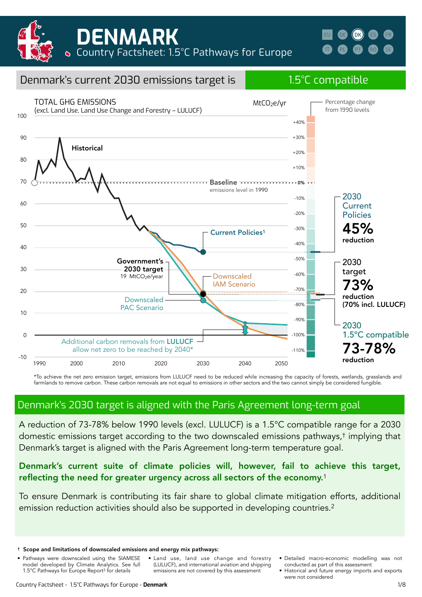

| н | $^{\prime}$ DK) |  |
|---|-----------------|--|
|   |                 |  |



\*To achieve the net zero emission target, emissions from LULUCF need to be reduced while increasing the capacity of forests, wetlands, grasslands and farmlands to remove carbon. These carbon removals are not equal to emissions in other sectors and the two cannot simply be considered fungible.

### Denmark's 2030 target is aligned with the Paris Agreement long-term goal

A reduction of 73-78% below 1990 levels (excl. LULUCF) is a 1.5°C compatible range for a 2030 domestic emissions target according to the two downscaled emissions pathways,† implying that Denmark's target is aligned with the Paris Agreement long-term temperature goal.

#### Denmark's current suite of climate policies will, however, fail to achieve this target, reflecting the need for greater urgency across all sectors of the economy.<sup>1</sup>

To ensure Denmark is contributing its fair share to global climate mitigation efforts, additional emission reduction activities should also be supported in developing countries.<sup>2</sup>

- Pathways were downscaled using the SIAMESE model developed by Climate Analytics. See full 1.5°C Pathways for Europe Report3 for details
- Land use, land use change and forestry (LULUCF), and international aviation and shipping emissions are not covered by this assessment
- Detailed macro-economic modelling was not conducted as part of this assessment
- Historical and future energy imports and exports were not considered

<sup>†</sup> Scope and limitations of downscaled emissions and energy mix pathways: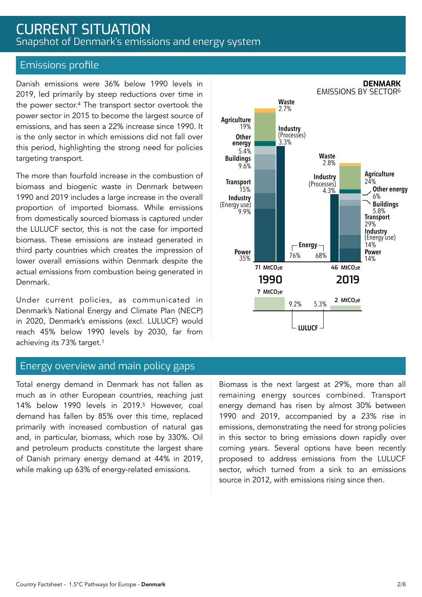# CURRENT SITUATION Snapshot of Denmark's emissions and energy system

#### Emissions profile

Danish emissions were 36% below 1990 levels in 2019, led primarily by steep reductions over time in the power sector.4 The transport sector overtook the power sector in 2015 to become the largest source of emissions, and has seen a 22% increase since 1990. It is the only sector in which emissions did not fall over this period, highlighting the strong need for policies targeting transport.

The more than fourfold increase in the combustion of biomass and biogenic waste in Denmark between 1990 and 2019 includes a large increase in the overall proportion of imported biomass. While emissions from domestically sourced biomass is captured under the LULUCF sector, this is not the case for imported biomass. These emissions are instead generated in third party countries which creates the impression of lower overall emissions within Denmark despite the actual emissions from combustion being generated in Denmark.

Under current policies, as communicated in Denmark's National Energy and Climate Plan (NECP) in 2020, Denmark's emissions (excl. LULUCF) would reach 45% below 1990 levels by 2030, far from achieving its 73% target.1

#### Energy overview and main policy gaps

Total energy demand in Denmark has not fallen as much as in other European countries, reaching just 14% below 1990 levels in 2019.5 However, coal demand has fallen by 85% over this time, replaced primarily with increased combustion of natural gas and, in particular, biomass, which rose by 330%. Oil and petroleum products constitute the largest share of Danish primary energy demand at 44% in 2019, while making up 63% of energy-related emissions.

Biomass is the next largest at 29%, more than all remaining energy sources combined. Transport energy demand has risen by almost 30% between 1990 and 2019, accompanied by a 23% rise in emissions, demonstrating the need for strong policies in this sector to bring emissions down rapidly over coming years. Several options have been recently proposed to address emissions from the LULUCF sector, which turned from a sink to an emissions source in 2012, with emissions rising since then.



**DENMARK**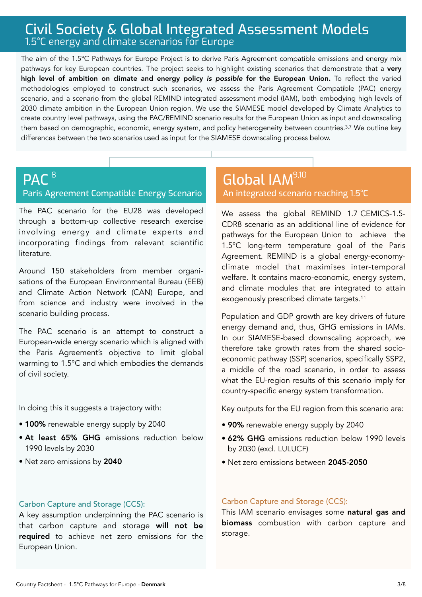# Civil Society & Global Integrated Assessment Models 1.5°C energy and climate scenarios for Europe

The aim of the 1.5°C Pathways for Europe Project is to derive Paris Agreement compatible emissions and energy mix pathways for key European countries. The project seeks to highlight existing scenarios that demonstrate that a very high level of ambition on climate and energy policy *is possible* for the European Union. To reflect the varied methodologies employed to construct such scenarios, we assess the Paris Agreement Compatible (PAC) energy scenario, and a scenario from the global REMIND integrated assessment model (IAM), both embodying high levels of 2030 climate ambition in the European Union region. We use the SIAMESE model developed by Climate Analytics to create country level pathways, using the PAC/REMIND scenario results for the European Union as input and downscaling them based on demographic, economic, energy system, and policy heterogeneity between countries.3,7 We outline key differences between the two scenarios used as input for the SIAMESE downscaling process below.

#### **PAC<sup>8</sup>** Paris Agreement Compatible Energy Scenario 8 9,100 Million December 1988 1990 Million December 1990 Million December 1990 Million December 1990 Million D

The PAC scenario for the EU28 was developed through a bottom-up collective research exercise involving energy and climate experts and incorporating findings from relevant scientific literature.

Around 150 stakeholders from member organisations of the European Environmental Bureau (EEB) and Climate Action Network (CAN) Europe, and from science and industry were involved in the scenario building process.

The PAC scenario is an attempt to construct a European-wide energy scenario which is aligned with the Paris Agreement's objective to limit global warming to 1.5°C and which embodies the demands of civil society.

In doing this it suggests a trajectory with:

- 100% renewable energy supply by 2040
- At least 65% GHG emissions reduction below 1990 levels by 2030
- Net zero emissions by 2040

# An integrated scenario reaching 1.5°C

We assess the global REMIND 1.7 CEMICS-1.5- CDR8 scenario as an additional line of evidence for pathways for the European Union to achieve the 1.5°C long-term temperature goal of the Paris Agreement. REMIND is a global energy-economyclimate model that maximises inter-temporal welfare. It contains macro-economic, energy system, and climate modules that are integrated to attain exogenously prescribed climate targets.11

Population and GDP growth are key drivers of future energy demand and, thus, GHG emissions in IAMs. In our SIAMESE-based downscaling approach, we therefore take growth rates from the shared socioeconomic pathway (SSP) scenarios, specifically SSP2, a middle of the road scenario, in order to assess what the EU-region results of this scenario imply for country-specific energy system transformation.

Key outputs for the EU region from this scenario are:

- 90% renewable energy supply by 2040
- 62% GHG emissions reduction below 1990 levels by 2030 (excl. LULUCF)
- Net zero emissions between 2045-2050

#### Carbon Capture and Storage (CCS):

A key assumption underpinning the PAC scenario is that carbon capture and storage will not be required to achieve net zero emissions for the European Union.

#### Carbon Capture and Storage (CCS):

This IAM scenario envisages some natural gas and biomass combustion with carbon capture and storage.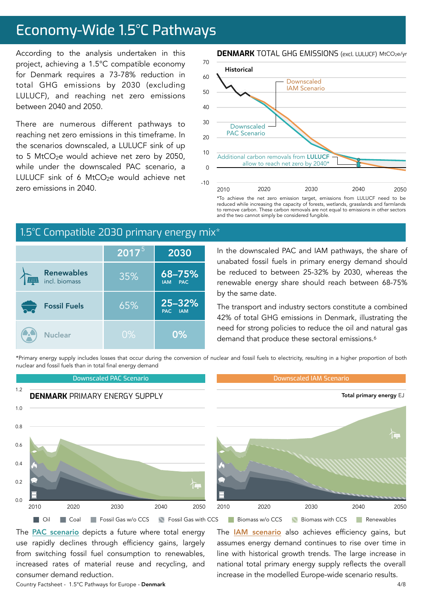# Economy-Wide 1.5°C Pathways

According to the analysis undertaken in this project, achieving a 1.5°C compatible economy for Denmark requires a 73-78% reduction in total GHG emissions by 2030 (excluding LULUCF), and reaching net zero emissions between 2040 and 2050.

There are numerous different pathways to reaching net zero emissions in this timeframe. In the scenarios downscaled, a LULUCF sink of up to 5 MtCO<sub>2</sub>e would achieve net zero by 2050, while under the downscaled PAC scenario, a LULUCF sink of 6 MtCO<sub>2</sub>e would achieve net zero emissions in 2040.

#### **DENMARK** TOTAL GHG EMISSIONS (excl. LULUCF) MtCO2e/yr



to remove carbon. These carbon removals are not equal to emissions in other sectors and the two cannot simply be considered fungible.

## 1.5°C Compatible 2030 primary energy mix<sup>\*</sup>

|                                    | $2017^{5}$ | 2030                               |
|------------------------------------|------------|------------------------------------|
| <b>Renewables</b><br>incl. biomass | 35%        | 68-75%<br><b>PAC</b><br><b>IAM</b> |
| <b>Fossil Fuels</b>                | 65%        | 25-32%<br>PAC.<br><b>IAM</b>       |
| <b>Nuclear</b>                     | $0\%$      | 0%                                 |

In the downscaled PAC and IAM pathways, the share of unabated fossil fuels in primary energy demand should be reduced to between 25-32% by 2030, whereas the renewable energy share should reach between 68-75% by the same date.

The transport and industry sectors constitute a combined 42% of total GHG emissions in Denmark, illustrating the need for strong policies to reduce the oil and natural gas demand that produce these sectoral emissions.<sup>6</sup>

The **[IAM scenario](https://www.pik-potsdam.de/en/institute/departments/transformation-pathways/models/remind/remind16_description_2015_11_30_final#:~:text=REMIND%20is%20a%20global%20energy,inter-temporal%20welfare%20is%20maximized.&text=Macro-economic%20production%20factors%20are,,%20labor,%20and%20final%20energy.)** also achieves efficiency gains, but assumes energy demand continues to rise over time in line with historical growth trends. The large increase in national total primary energy supply reflects the overall increase in the modelled Europe-wide scenario results.

\*Primary energy supply includes losses that occur during the conversion of nuclear and fossil fuels to electricity, resulting in a higher proportion of both nuclear and fossil fuels than in total final energy demand



The **PAC** scenario depicts a future where total energy use rapidly declines through efficiency gains, largely from switching fossil fuel consumption to renewables, increased rates of material reuse and recycling, and consumer demand reduction.

Country Factsheet - 1.5°C Pathways for Europe - Denmark 4/8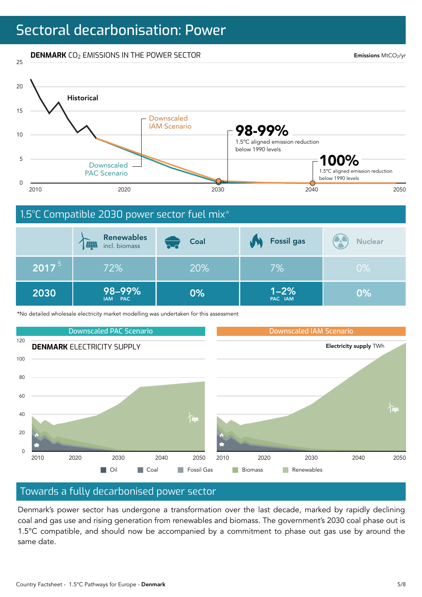# Sectoral decarbonisation: Power

#### **DENMARK** CO<sub>2</sub> EMISSIONS IN THE POWER SECTOR

25

Emissions MtCO2/yr



|            | <b>Renewables</b><br><b>HIN</b><br>incl. biomass | Coal<br>b_d | <b>Fossil gas</b>   | <b>AN</b><br><b>Nuclear</b> |
|------------|--------------------------------------------------|-------------|---------------------|-----------------------------|
| $2017^{5}$ | 72%                                              | 20%         | 7%                  | $0\%$                       |
| 2030       | 98-99%<br>IAM PAC                                | 0%          | $1 - 2%$<br>PAC IAM | 0%                          |

\*No detailed wholesale electricity market modelling was undertaken for this assessment



#### Towards a fully decarbonised power sector

Denmark's power sector has undergone a transformation over the last decade, marked by rapidly declining coal and gas use and rising generation from renewables and biomass. The government's 2030 coal phase out is 1.5°C compatible, and should now be accompanied by a commitment to phase out gas use by around the same date.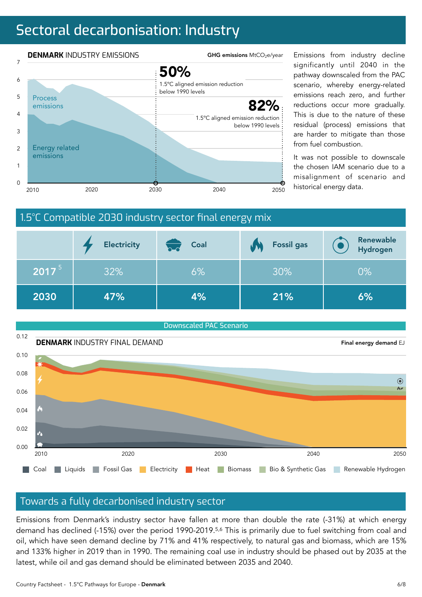# Sectoral decarbonisation: Industry



significantly until 2040 in the pathway downscaled from the PAC scenario, whereby energy-related emissions reach zero, and further reductions occur more gradually. This is due to the nature of these residual (process) emissions that are harder to mitigate than those from fuel combustion.

It was not possible to downscale the chosen IAM scenario due to a misalignment of scenario and

### 1.5°C Compatible 2030 industry sector final energy mix

|          | <b>Electricity</b> | Coal<br>$\mathsf{b}\mathsf{-d}$ | <b>Fossil gas</b> | Renewable<br>Hydrogen |
|----------|--------------------|---------------------------------|-------------------|-----------------------|
| $2017^5$ | 32%                | 6%                              | 30%               | 0%                    |
| 2030     | 47%                | 4%                              | 21%               | 6%                    |



#### Towards a fully decarbonised industry sector

Emissions from Denmark's industry sector have fallen at more than double the rate (-31%) at which energy demand has declined (-15%) over the period 1990-2019.5,6 This is primarily due to fuel switching from coal and oil, which have seen demand decline by 71% and 41% respectively, to natural gas and biomass, which are 15% and 133% higher in 2019 than in 1990. The remaining coal use in industry should be phased out by 2035 at the latest, while oil and gas demand should be eliminated between 2035 and 2040.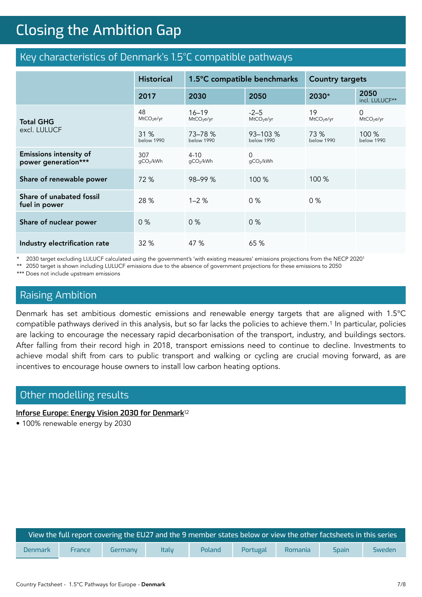# **Closing the Ambition Gap** Closing the Ambition Gap

### Key characteristics of Denmark's 1.5°C compatible pathways

|                                                      | <b>Historical</b>            | 1.5°C compatible benchmarks         |                                  | <b>Country targets</b>       |                                       |
|------------------------------------------------------|------------------------------|-------------------------------------|----------------------------------|------------------------------|---------------------------------------|
|                                                      | 2017                         | 2030                                | 2050                             | 2030*                        | 2050<br>incl. LULUCF**                |
| <b>Total GHG</b>                                     | 48<br>MtCO <sub>2</sub> e/yr | $16 - 19$<br>MtCO <sub>2</sub> e/yr | $-2-5$<br>MtCO <sub>2</sub> e/yr | 19<br>MtCO <sub>2</sub> e/yr | $\mathbf 0$<br>MtCO <sub>2</sub> e/yr |
| excl. LULUCF                                         | 31%<br><b>below 1990</b>     | 73-78 %<br><b>below 1990</b>        | $93 - 103 %$<br>below 1990       | 73 %<br><b>below 1990</b>    | $100\%$<br><b>below 1990</b>          |
| <b>Emissions intensity of</b><br>power generation*** | 307<br>gCO2/kWh              | $4 - 10$<br>qCO2/kWh                | $\Omega$<br>gCO2/kWh             |                              |                                       |
| Share of renewable power                             | 72 %                         | 98-99 %                             | 100 %                            | 100 %                        |                                       |
| Share of unabated fossil<br>fuel in power            | 28 %                         | $1 - 2%$                            | 0%                               | $0\%$                        |                                       |
| Share of nuclear power                               | 0%                           | $0\%$                               | 0%                               |                              |                                       |
| Industry electrification rate                        | 32 %                         | 47 %                                | 65 %                             |                              |                                       |

\* 2030 target excluding LULUCF calculated using the government's 'with existing measures' emissions projections from the NECP 20201

\*\* 2050 target is shown including LULUCF emissions due to the absence of government projections for these emissions to 2050

\*\*\* Does not include upstream emissions

#### Raising Ambition

Denmark has set ambitious domestic emissions and renewable energy targets that are aligned with 1.5°C compatible pathways derived in this analysis, but so far lacks the policies to achieve them.1 In particular, policies are lacking to encourage the necessary rapid decarbonisation of the transport, industry, and buildings sectors. After falling from their record high in 2018, transport emissions need to continue to decline. Investments to achieve modal shift from cars to public transport and walking or cycling are crucial moving forward, as are incentives to encourage house owners to install low carbon heating options.

#### Other modelling results

#### **[Inforse Europe: Energy Vision 2030 for Denmark](https://www.inforse.org/europe/pdfs/EnergyVision2030-UK.pdf)**<sup>12</sup>

• 100% renewable energy by 2030

| View the full report covering the EU27 and the 9 membe <u>r states below or view the other factsheets in this series b</u> |        |         |              |        |          |         |              |        |
|----------------------------------------------------------------------------------------------------------------------------|--------|---------|--------------|--------|----------|---------|--------------|--------|
| Denmark                                                                                                                    | France | Germany | <b>Italy</b> | Poland | Portugal | Romania | <b>Spain</b> | Sweden |